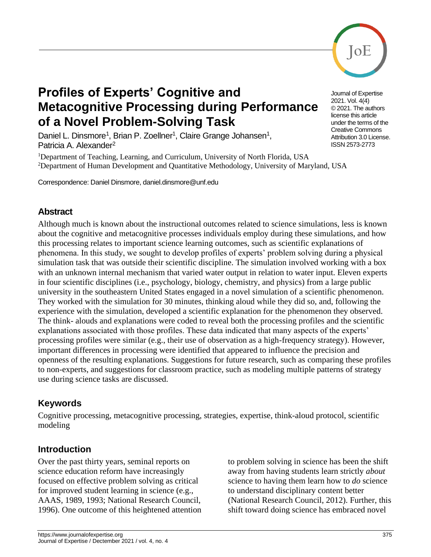

# **Profiles of Experts' Cognitive and Metacognitive Processing during Performance of a Novel Problem-Solving Task**

Daniel L. Dinsmore<sup>1</sup>, Brian P. Zoellner<sup>1</sup>, Claire Grange Johansen<sup>1</sup>, Patricia A. Alexander<sup>2</sup>

<sup>1</sup>Department of Teaching, Learning, and Curriculum, University of North Florida, USA <sup>2</sup>Department of Human Development and Quantitative Methodology, University of Maryland, USA

Correspondence: Daniel Dinsmore, daniel.dinsmore@unf.edu

## **Abstract**

Although much is known about the instructional outcomes related to science simulations, less is known about the cognitive and metacognitive processes individuals employ during these simulations, and how this processing relates to important science learning outcomes, such as scientific explanations of phenomena. In this study, we sought to develop profiles of experts' problem solving during a physical simulation task that was outside their scientific discipline. The simulation involved working with a box with an unknown internal mechanism that varied water output in relation to water input. Eleven experts in four scientific disciplines (i.e., psychology, biology, chemistry, and physics) from a large public university in the southeastern United States engaged in a novel simulation of a scientific phenomenon. They worked with the simulation for 30 minutes, thinking aloud while they did so, and, following the experience with the simulation, developed a scientific explanation for the phenomenon they observed. The think- alouds and explanations were coded to reveal both the processing profiles and the scientific explanations associated with those profiles. These data indicated that many aspects of the experts' processing profiles were similar (e.g., their use of observation as a high-frequency strategy). However, important differences in processing were identified that appeared to influence the precision and openness of the resulting explanations. Suggestions for future research, such as comparing these profiles to non-experts, and suggestions for classroom practice, such as modeling multiple patterns of strategy use during science tasks are discussed.

# **Keywords**

Cognitive processing, metacognitive processing, strategies, expertise, think-aloud protocol, scientific modeling

# **Introduction**

Over the past thirty years, seminal reports on science education reform have increasingly focused on effective problem solving as critical for improved student learning in science (e.g., AAAS, 1989, 1993; National Research Council, 1996). One outcome of this heightened attention to problem solving in science has been the shift away from having students learn strictly *about* science to having them learn how to *do* science to understand disciplinary content better (National Research Council, 2012). Further, this shift toward doing science has embraced novel

Journal of Expertise 2021. Vol. 4(4) © 2021. The authors license this article under the terms of the Creative Commons Attribution 3.0 License. ISSN 2573-2773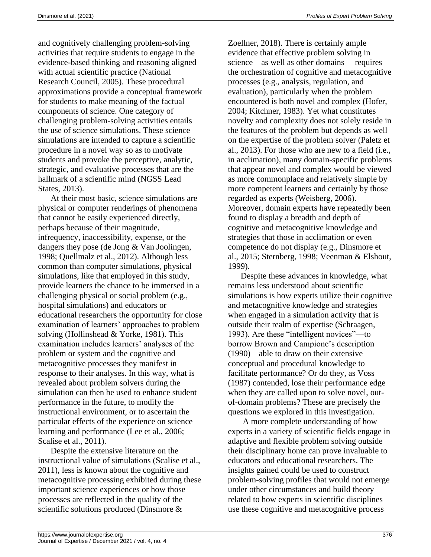and cognitively challenging problem-solving activities that require students to engage in the evidence-based thinking and reasoning aligned with actual scientific practice (National Research Council, 2005). These procedural approximations provide a conceptual framework for students to make meaning of the factual components of science. One category of challenging problem-solving activities entails the use of science simulations. These science simulations are intended to capture a scientific procedure in a novel way so as to motivate students and provoke the perceptive, analytic, strategic, and evaluative processes that are the hallmark of a scientific mind (NGSS Lead States, 2013).

At their most basic, science simulations are physical or computer renderings of phenomena that cannot be easily experienced directly, perhaps because of their magnitude, infrequency, inaccessibility, expense, or the dangers they pose (de Jong & Van Joolingen, 1998; Quellmalz et al., 2012). Although less common than computer simulations, physical simulations, like that employed in this study, provide learners the chance to be immersed in a challenging physical or social problem (e.g., hospital simulations) and educators or educational researchers the opportunity for close examination of learners' approaches to problem solving (Hollinshead & Yorke, 1981). This examination includes learners' analyses of the problem or system and the cognitive and metacognitive processes they manifest in response to their analyses. In this way, what is revealed about problem solvers during the simulation can then be used to enhance student performance in the future, to modify the instructional environment, or to ascertain the particular effects of the experience on science learning and performance (Lee et al., 2006; Scalise et al., 2011).

Despite the extensive literature on the instructional value of simulations (Scalise et al., 2011), less is known about the cognitive and metacognitive processing exhibited during these important science experiences or how those processes are reflected in the quality of the scientific solutions produced (Dinsmore &

Zoellner, 2018). There is certainly ample evidence that effective problem solving in science—as well as other domains— requires the orchestration of cognitive and metacognitive processes (e.g., analysis, regulation, and evaluation), particularly when the problem encountered is both novel and complex (Hofer, 2004; Kitchner, 1983). Yet what constitutes novelty and complexity does not solely reside in the features of the problem but depends as well on the expertise of the problem solver (Paletz et al., 2013). For those who are new to a field (i.e., in acclimation), many domain-specific problems that appear novel and complex would be viewed as more commonplace and relatively simple by more competent learners and certainly by those regarded as experts (Weisberg, 2006). Moreover, domain experts have repeatedly been found to display a breadth and depth of cognitive and metacognitive knowledge and strategies that those in acclimation or even competence do not display (e.g., Dinsmore et al., 2015; Sternberg, 1998; Veenman & Elshout, 1999).

Despite these advances in knowledge, what remains less understood about scientific simulations is how experts utilize their cognitive and metacognitive knowledge and strategies when engaged in a simulation activity that is outside their realm of expertise (Schraagen, 1993). Are these "intelligent novices"—to borrow Brown and Campione's description (1990)—able to draw on their extensive conceptual and procedural knowledge to facilitate performance? Or do they, as Voss (1987) contended, lose their performance edge when they are called upon to solve novel, outof-domain problems? These are precisely the questions we explored in this investigation.

A more complete understanding of how experts in a variety of scientific fields engage in adaptive and flexible problem solving outside their disciplinary home can prove invaluable to educators and educational researchers. The insights gained could be used to construct problem-solving profiles that would not emerge under other circumstances and build theory related to how experts in scientific disciplines use these cognitive and metacognitive process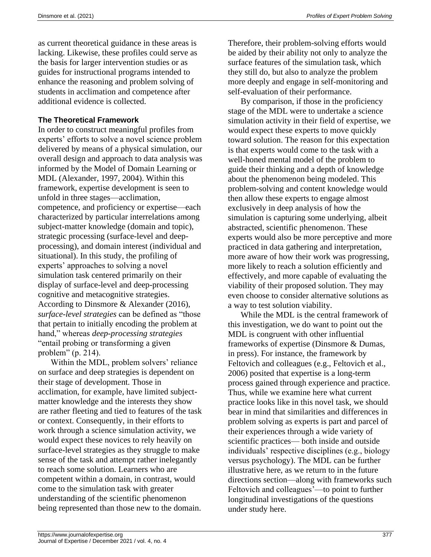as current theoretical guidance in these areas is lacking. Likewise, these profiles could serve as the basis for larger intervention studies or as guides for instructional programs intended to enhance the reasoning and problem solving of students in acclimation and competence after additional evidence is collected.

#### **The Theoretical Framework**

In order to construct meaningful profiles from experts' efforts to solve a novel science problem delivered by means of a physical simulation, our overall design and approach to data analysis was informed by the Model of Domain Learning or MDL (Alexander, 1997, 2004). Within this framework, expertise development is seen to unfold in three stages—acclimation, competence, and proficiency or expertise—each characterized by particular interrelations among subject-matter knowledge (domain and topic), strategic processing (surface-level and deepprocessing), and domain interest (individual and situational). In this study, the profiling of experts' approaches to solving a novel simulation task centered primarily on their display of surface-level and deep-processing cognitive and metacognitive strategies. According to Dinsmore & Alexander (2016), *surface-level strategies* can be defined as "those that pertain to initially encoding the problem at hand," whereas *deep-processing strategies*  "entail probing or transforming a given problem" (p. 214).

Within the MDL, problem solvers' reliance on surface and deep strategies is dependent on their stage of development. Those in acclimation, for example, have limited subjectmatter knowledge and the interests they show are rather fleeting and tied to features of the task or context. Consequently, in their efforts to work through a science simulation activity, we would expect these novices to rely heavily on surface-level strategies as they struggle to make sense of the task and attempt rather inelegantly to reach some solution. Learners who are competent within a domain, in contrast, would come to the simulation task with greater understanding of the scientific phenomenon being represented than those new to the domain.

By comparison, if those in the proficiency stage of the MDL were to undertake a science simulation activity in their field of expertise, we would expect these experts to move quickly toward solution. The reason for this expectation is that experts would come to the task with a well-honed mental model of the problem to guide their thinking and a depth of knowledge about the phenomenon being modeled. This problem-solving and content knowledge would then allow these experts to engage almost exclusively in deep analysis of how the simulation is capturing some underlying, albeit abstracted, scientific phenomenon. These experts would also be more perceptive and more practiced in data gathering and interpretation, more aware of how their work was progressing, more likely to reach a solution efficiently and effectively, and more capable of evaluating the viability of their proposed solution. They may even choose to consider alternative solutions as a way to test solution viability.

While the MDL is the central framework of this investigation, we do want to point out the MDL is congruent with other influential frameworks of expertise (Dinsmore & Dumas, in press). For instance, the framework by Feltovich and colleagues (e.g., Feltovich et al., 2006) posited that expertise is a long-term process gained through experience and practice. Thus, while we examine here what current practice looks like in this novel task, we should bear in mind that similarities and differences in problem solving as experts is part and parcel of their experiences through a wide variety of scientific practices— both inside and outside individuals' respective disciplines (e.g., biology versus psychology). The MDL can be further illustrative here, as we return to in the future directions section—along with frameworks such Feltovich and colleagues'—to point to further longitudinal investigations of the questions under study here.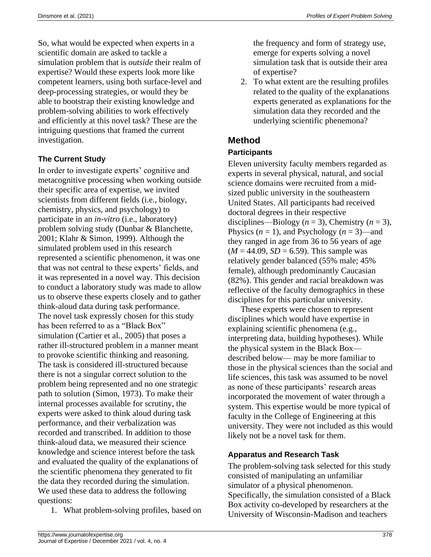So, what would be expected when experts in a scientific domain are asked to tackle a simulation problem that is *outside* their realm of expertise? Would these experts look more like competent learners, using both surface-level and deep-processing strategies, or would they be able to bootstrap their existing knowledge and problem-solving abilities to work effectively and efficiently at this novel task? These are the intriguing questions that framed the current investigation.

## **The Current Study**

In order to investigate experts' cognitive and metacognitive processing when working outside their specific area of expertise, we invited scientists from different fields (i.e., biology, chemistry, physics, and psychology) to participate in an *in-vitro* (i.e., laboratory) problem solving study (Dunbar & Blanchette, 2001; Klahr & Simon, 1999). Although the simulated problem used in this research represented a scientific phenomenon, it was one that was not central to these experts' fields, and it was represented in a novel way. This decision to conduct a laboratory study was made to allow us to observe these experts closely and to gather think-aloud data during task performance. The novel task expressly chosen for this study has been referred to as a "Black Box" simulation (Cartier et al., 2005) that poses a rather ill-structured problem in a manner meant to provoke scientific thinking and reasoning. The task is considered ill-structured because there is not a singular correct solution to the problem being represented and no one strategic path to solution (Simon, 1973). To make their internal processes available for scrutiny, the experts were asked to think aloud during task performance, and their verbalization was recorded and transcribed. In addition to those think-aloud data, we measured their science knowledge and science interest before the task and evaluated the quality of the explanations of the scientific phenomena they generated to fit the data they recorded during the simulation. We used these data to address the following questions:

1. What problem-solving profiles, based on

the frequency and form of strategy use, emerge for experts solving a novel simulation task that is outside their area of expertise?

2. To what extent are the resulting profiles related to the quality of the explanations experts generated as explanations for the simulation data they recorded and the underlying scientific phenemona?

# **Method**

#### **Participants**

Eleven university faculty members regarded as experts in several physical, natural, and social science domains were recruited from a midsized public university in the southeastern United States. All participants had received doctoral degrees in their respective disciplines—Biology  $(n = 3)$ , Chemistry  $(n = 3)$ , Physics  $(n = 1)$ , and Psychology  $(n = 3)$ —and they ranged in age from 36 to 56 years of age  $(M = 44.09, SD = 6.59)$ . This sample was relatively gender balanced (55% male; 45% female), although predominantly Caucasian (82%). This gender and racial breakdown was reflective of the faculty demographics in these disciplines for this particular university.

These experts were chosen to represent disciplines which would have expertise in explaining scientific phenomena (e.g., interpreting data, building hypotheses). While the physical system in the Black Box described below— may be more familiar to those in the physical sciences than the social and life sciences, this task was assumed to be novel as none of these participants' research areas incorporated the movement of water through a system. This expertise would be more typical of faculty in the College of Engineering at this university. They were not included as this would likely not be a novel task for them.

#### **Apparatus and Research Task**

The problem-solving task selected for this study consisted of manipulating an unfamiliar simulator of a physical phenomenon. Specifically, the simulation consisted of a Black Box activity co-developed by researchers at the University of Wisconsin-Madison and teachers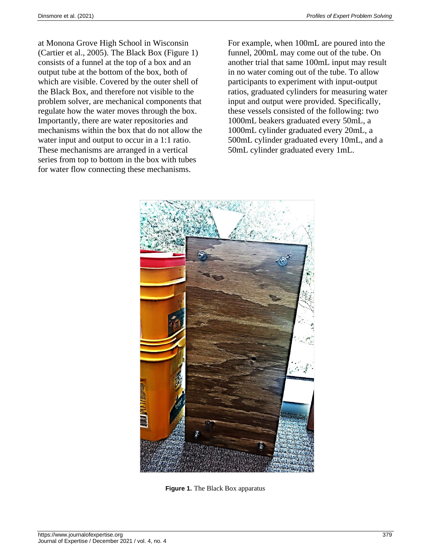at Monona Grove High School in Wisconsin (Cartier et al., 2005). The Black Box (Figure 1) consists of a funnel at the top of a box and an output tube at the bottom of the box, both of which are visible. Covered by the outer shell of the Black Box, and therefore not visible to the problem solver, are mechanical components that regulate how the water moves through the box. Importantly, there are water repositories and mechanisms within the box that do not allow the water input and output to occur in a 1:1 ratio. These mechanisms are arranged in a vertical series from top to bottom in the box with tubes for water flow connecting these mechanisms.

For example, when 100mL are poured into the funnel, 200mL may come out of the tube. On another trial that same 100mL input may result in no water coming out of the tube. To allow participants to experiment with input-output ratios, graduated cylinders for measuring water input and output were provided. Specifically, these vessels consisted of the following: two 1000mL beakers graduated every 50mL, a 1000mL cylinder graduated every 20mL, a 500mL cylinder graduated every 10mL, and a 50mL cylinder graduated every 1mL.



**Figure 1.** The Black Box apparatus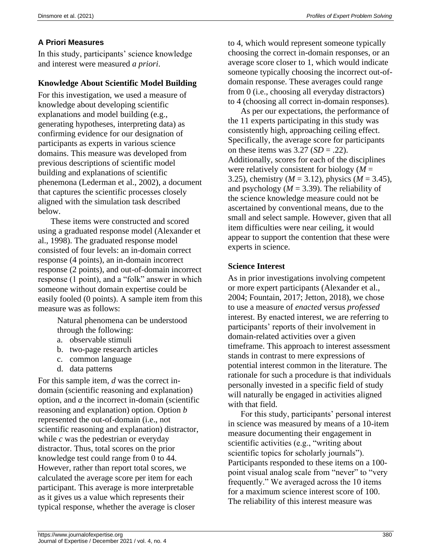## **A Priori Measures**

In this study, participants' science knowledge and interest were measured *a priori*.

## **Knowledge About Scientific Model Building**

For this investigation, we used a measure of knowledge about developing scientific explanations and model building (e.g., generating hypotheses, interpreting data) as confirming evidence for our designation of participants as experts in various science domains. This measure was developed from previous descriptions of scientific model building and explanations of scientific phenemona (Lederman et al., 2002), a document that captures the scientific processes closely aligned with the simulation task described below.

These items were constructed and scored using a graduated response model (Alexander et al., 1998). The graduated response model consisted of four levels: an in-domain correct response (4 points), an in-domain incorrect response (2 points), and out-of-domain incorrect response (1 point), and a "folk" answer in which someone without domain expertise could be easily fooled (0 points). A sample item from this measure was as follows:

> Natural phenomena can be understood through the following:

- a. observable stimuli
- b. two-page research articles
- c. common language
- d. data patterns

For this sample item, *d* was the correct indomain (scientific reasoning and explanation) option, and *a* the incorrect in-domain (scientific reasoning and explanation) option. Option *b* represented the out-of-domain (i.e., not scientific reasoning and explanation) distractor, while *c* was the pedestrian or everyday distractor. Thus, total scores on the prior knowledge test could range from 0 to 44. However, rather than report total scores, we calculated the average score per item for each participant. This average is more interpretable as it gives us a value which represents their typical response, whether the average is closer

to 4, which would represent someone typically choosing the correct in-domain responses, or an average score closer to 1, which would indicate someone typically choosing the incorrect out-ofdomain response. These averages could range from 0 (i.e., choosing all everyday distractors) to 4 (choosing all correct in-domain responses).

As per our expectations, the performance of the 11 experts participating in this study was consistently high, approaching ceiling effect. Specifically, the average score for participants on these items was  $3.27$  (*SD* = .22). Additionally, scores for each of the disciplines were relatively consistent for biology (*M* = 3.25), chemistry (*M* = 3.12), physics (*M* = 3.45), and psychology  $(M = 3.39)$ . The reliability of the science knowledge measure could not be ascertained by conventional means, due to the small and select sample. However, given that all item difficulties were near ceiling, it would appear to support the contention that these were experts in science.

## **Science Interest**

As in prior investigations involving competent or more expert participants (Alexander et al., 2004; Fountain, 2017; Jetton, 2018), we chose to use a measure of *enacted* versus *professed* interest. By enacted interest, we are referring to participants' reports of their involvement in domain-related activities over a given timeframe. This approach to interest assessment stands in contrast to mere expressions of potential interest common in the literature. The rationale for such a procedure is that individuals personally invested in a specific field of study will naturally be engaged in activities aligned with that field.

For this study, participants' personal interest in science was measured by means of a 10-item measure documenting their engagement in scientific activities (e.g., "writing about scientific topics for scholarly journals"). Participants responded to these items on a 100 point visual analog scale from "never" to "very frequently." We averaged across the 10 items for a maximum science interest score of 100. The reliability of this interest measure was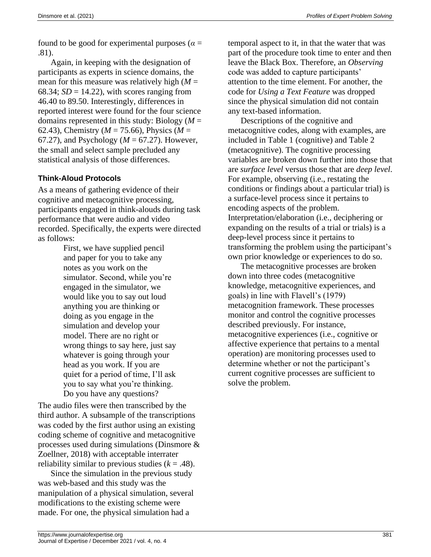found to be good for experimental purposes ( $\alpha$  = .81).

Again, in keeping with the designation of participants as experts in science domains, the mean for this measure was relatively high  $(M =$ 68.34;  $SD = 14.22$ ), with scores ranging from 46.40 to 89.50. Interestingly, differences in reported interest were found for the four science domains represented in this study: Biology (*M* = 62.43), Chemistry (*M* = 75.66), Physics (*M* = 67.27), and Psychology (*M* = 67.27). However, the small and select sample precluded any statistical analysis of those differences.

#### **Think-Aloud Protocols**

As a means of gathering evidence of their cognitive and metacognitive processing, participants engaged in think-alouds during task performance that were audio and video recorded. Specifically, the experts were directed as follows:

> First, we have supplied pencil and paper for you to take any notes as you work on the simulator. Second, while you're engaged in the simulator, we would like you to say out loud anything you are thinking or doing as you engage in the simulation and develop your model. There are no right or wrong things to say here, just say whatever is going through your head as you work. If you are quiet for a period of time, I'll ask you to say what you're thinking. Do you have any questions?

The audio files were then transcribed by the third author. A subsample of the transcriptions was coded by the first author using an existing coding scheme of cognitive and metacognitive processes used during simulations (Dinsmore & Zoellner, 2018) with acceptable interrater reliability similar to previous studies  $(k = .48)$ .

Since the simulation in the previous study was web-based and this study was the manipulation of a physical simulation, several modifications to the existing scheme were made. For one, the physical simulation had a

temporal aspect to it, in that the water that was part of the procedure took time to enter and then leave the Black Box. Therefore, an *Observing* code was added to capture participants' attention to the time element. For another, the code for *Using a Text Feature* was dropped since the physical simulation did not contain any text-based information.

Descriptions of the cognitive and metacognitive codes, along with examples, are included in Table 1 (cognitive) and Table 2 (metacognitive). The cognitive processing variables are broken down further into those that are *surface level* versus those that are *deep level*. For example, observing (i.e., restating the conditions or findings about a particular trial) is a surface-level process since it pertains to encoding aspects of the problem. Interpretation/elaboration (i.e., deciphering or expanding on the results of a trial or trials) is a deep-level process since it pertains to transforming the problem using the participant's own prior knowledge or experiences to do so.

The metacognitive processes are broken down into three codes (metacognitive knowledge, metacognitive experiences, and goals) in line with Flavell's (1979) metacognition framework. These processes monitor and control the cognitive processes described previously. For instance, metacognitive experiences (i.e., cognitive or affective experience that pertains to a mental operation) are monitoring processes used to determine whether or not the participant's current cognitive processes are sufficient to solve the problem.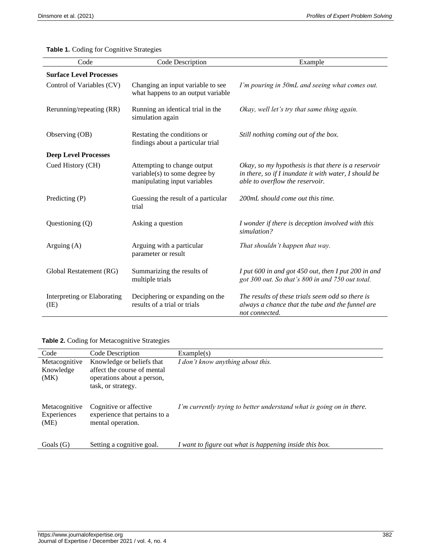**Table 1.** Coding for Cognitive Strategies

| Code                                | Code Description                                                                             | Example                                                                                                                                         |
|-------------------------------------|----------------------------------------------------------------------------------------------|-------------------------------------------------------------------------------------------------------------------------------------------------|
| <b>Surface Level Processes</b>      |                                                                                              |                                                                                                                                                 |
| Control of Variables (CV)           | Changing an input variable to see<br>what happens to an output variable                      | I'm pouring in 50mL and seeing what comes out.                                                                                                  |
| Rerunning/repeating (RR)            | Running an identical trial in the<br>simulation again                                        | Okay, well let's try that same thing again.                                                                                                     |
| Observing (OB)                      | Restating the conditions or<br>findings about a particular trial                             | Still nothing coming out of the box.                                                                                                            |
| <b>Deep Level Processes</b>         |                                                                                              |                                                                                                                                                 |
| Cued History (CH)                   | Attempting to change output<br>variable(s) to some degree by<br>manipulating input variables | Okay, so my hypothesis is that there is a reservoir<br>in there, so if I inundate it with water, I should be<br>able to overflow the reservoir. |
| Predicting (P)                      | Guessing the result of a particular<br>trial                                                 | 200mL should come out this time.                                                                                                                |
| Questioning $(Q)$                   | Asking a question                                                                            | I wonder if there is deception involved with this<br>simulation?                                                                                |
| Arguing $(A)$                       | Arguing with a particular<br>parameter or result                                             | That shouldn't happen that way.                                                                                                                 |
| Global Restatement (RG)             | Summarizing the results of<br>multiple trials                                                | I put 600 in and got 450 out, then I put 200 in and<br>got 300 out. So that's 800 in and 750 out total.                                         |
| Interpreting or Elaborating<br>(IE) | Deciphering or expanding on the<br>results of a trial or trials                              | The results of these trials seem odd so there is<br>always a chance that the tube and the funnel are<br>not connected.                          |

**Table 2.** Coding for Metacognitive Strategies

| Code                                 | Code Description                                                                                             | Example(s)                                                           |
|--------------------------------------|--------------------------------------------------------------------------------------------------------------|----------------------------------------------------------------------|
| Metacognitive<br>Knowledge<br>(MK)   | Knowledge or beliefs that<br>affect the course of mental<br>operations about a person,<br>task, or strategy. | I don't know anything about this.                                    |
| Metacognitive<br>Experiences<br>(ME) | Cognitive or affective<br>experience that pertains to a<br>mental operation.                                 | I'm currently trying to better understand what is going on in there. |
| Goals $(G)$                          | Setting a cognitive goal.                                                                                    | I want to figure out what is happening inside this box.              |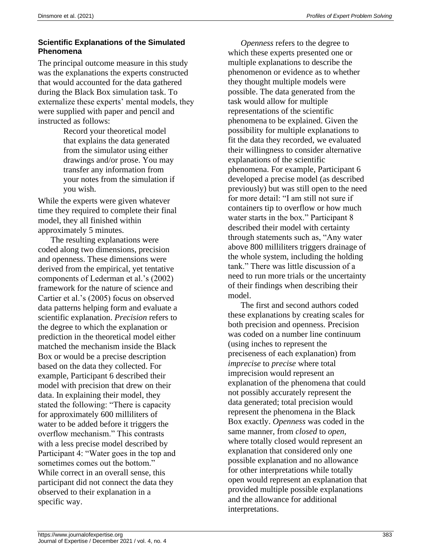#### **Scientific Explanations of the Simulated Phenomena**

The principal outcome measure in this study was the explanations the experts constructed that would accounted for the data gathered during the Black Box simulation task. To externalize these experts' mental models, they were supplied with paper and pencil and instructed as follows:

> Record your theoretical model that explains the data generated from the simulator using either drawings and/or prose. You may transfer any information from your notes from the simulation if you wish.

While the experts were given whatever time they required to complete their final model, they all finished within approximately 5 minutes.

The resulting explanations were coded along two dimensions, precision and openness. These dimensions were derived from the empirical, yet tentative components of Lederman et al.'s (2002) framework for the nature of science and Cartier et al.'s (2005) focus on observed data patterns helping form and evaluate a scientific explanation. *Precision* refers to the degree to which the explanation or prediction in the theoretical model either matched the mechanism inside the Black Box or would be a precise description based on the data they collected. For example, Participant 6 described their model with precision that drew on their data. In explaining their model, they stated the following: "There is capacity for approximately 600 milliliters of water to be added before it triggers the overflow mechanism." This contrasts with a less precise model described by Participant 4: "Water goes in the top and sometimes comes out the bottom." While correct in an overall sense, this participant did not connect the data they observed to their explanation in a specific way.

*Openness* refers to the degree to which these experts presented one or multiple explanations to describe the phenomenon or evidence as to whether they thought multiple models were possible. The data generated from the task would allow for multiple representations of the scientific phenomena to be explained. Given the possibility for multiple explanations to fit the data they recorded, we evaluated their willingness to consider alternative explanations of the scientific phenomena. For example, Participant 6 developed a precise model (as described previously) but was still open to the need for more detail: "I am still not sure if containers tip to overflow or how much water starts in the box." Participant 8 described their model with certainty through statements such as, "Any water above 800 milliliters triggers drainage of the whole system, including the holding tank." There was little discussion of a need to run more trials or the uncertainty of their findings when describing their model.

The first and second authors coded these explanations by creating scales for both precision and openness. Precision was coded on a number line continuum (using inches to represent the preciseness of each explanation) from *imprecise* to *precise* where total imprecision would represent an explanation of the phenomena that could not possibly accurately represent the data generated; total precision would represent the phenomena in the Black Box exactly. *Openness* was coded in the same manner, from *closed* to *open,* where totally closed would represent an explanation that considered only one possible explanation and no allowance for other interpretations while totally open would represent an explanation that provided multiple possible explanations and the allowance for additional interpretations.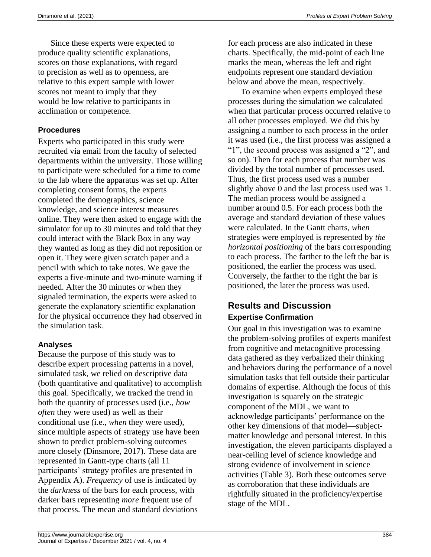Since these experts were expected to produce quality scientific explanations, scores on those explanations, with regard to precision as well as to openness, are relative to this expert sample with lower scores not meant to imply that they would be low relative to participants in acclimation or competence.

#### **Procedures**

Experts who participated in this study were recruited via email from the faculty of selected departments within the university. Those willing to participate were scheduled for a time to come to the lab where the apparatus was set up. After completing consent forms, the experts completed the demographics, science knowledge, and science interest measures online. They were then asked to engage with the simulator for up to 30 minutes and told that they could interact with the Black Box in any way they wanted as long as they did not reposition or open it. They were given scratch paper and a pencil with which to take notes. We gave the experts a five-minute and two-minute warning if needed. After the 30 minutes or when they signaled termination, the experts were asked to generate the explanatory scientific explanation for the physical occurrence they had observed in the simulation task.

#### **Analyses**

Because the purpose of this study was to describe expert processing patterns in a novel, simulated task, we relied on descriptive data (both quantitative and qualitative) to accomplish this goal. Specifically, we tracked the trend in both the quantity of processes used (i.e., *how often* they were used) as well as their conditional use (i.e., *when* they were used), since multiple aspects of strategy use have been shown to predict problem-solving outcomes more closely (Dinsmore, 2017). These data are represented in Gantt-type charts (all 11 participants' strategy profiles are presented in Appendix A). *Frequency* of use is indicated by the *darkness* of the bars for each process, with darker bars representing *more* frequent use of that process. The mean and standard deviations

for each process are also indicated in these charts. Specifically, the mid-point of each line marks the mean, whereas the left and right endpoints represent one standard deviation below and above the mean, respectively.

To examine when experts employed these processes during the simulation we calculated when that particular process occurred relative to all other processes employed. We did this by assigning a number to each process in the order it was used (i.e., the first process was assigned a "1", the second process was assigned a "2", and so on). Then for each process that number was divided by the total number of processes used. Thus, the first process used was a number slightly above 0 and the last process used was 1. The median process would be assigned a number around 0.5. For each process both the average and standard deviation of these values were calculated. In the Gantt charts, *when* strategies were employed is represented by *the horizontal positioning* of the bars corresponding to each process. The farther to the left the bar is positioned, the earlier the process was used. Conversely, the farther to the right the bar is positioned, the later the process was used.

# **Results and Discussion Expertise Confirmation**

Our goal in this investigation was to examine the problem-solving profiles of experts manifest from cognitive and metacognitive processing data gathered as they verbalized their thinking and behaviors during the performance of a novel simulation tasks that fell outside their particular domains of expertise. Although the focus of this investigation is squarely on the strategic component of the MDL, we want to acknowledge participants' performance on the other key dimensions of that model—subjectmatter knowledge and personal interest. In this investigation, the eleven participants displayed a near-ceiling level of science knowledge and strong evidence of involvement in science activities (Table 3). Both these outcomes serve as corroboration that these individuals are rightfully situated in the proficiency/expertise stage of the MDL.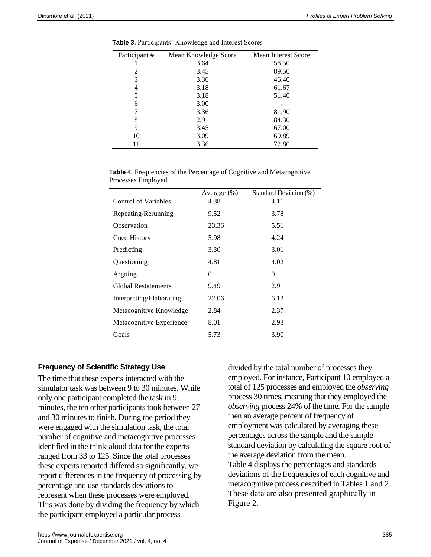| Participant# | Mean Knowledge Score | <b>Mean Interest Score</b> |
|--------------|----------------------|----------------------------|
|              | 3.64                 | 58.50                      |
| 2            | 3.45                 | 89.50                      |
| 3            | 3.36                 | 46.40                      |
| 4            | 3.18                 | 61.67                      |
| 5            | 3.18                 | 51.40                      |
| 6            | 3.00                 |                            |
|              | 3.36                 | 81.90                      |
| 8            | 2.91                 | 84.30                      |
| 9            | 3.45                 | 67.00                      |
| 10           | 3.09                 | 69.89                      |
| 11           | 3.36                 | 72.80                      |

**Table 3.** Participants' Knowledge and Interest Scores

| <b>Table 4.</b> Frequencies of the Percentage of Cognitive and Metacognitive |  |
|------------------------------------------------------------------------------|--|
| Processes Employed                                                           |  |

|                            | Average $(\%)$ | Standard Deviation (%) |
|----------------------------|----------------|------------------------|
| Control of Variables       | 4.38           | 4.11                   |
| Repeating/Rerunning        | 9.52           | 3.78                   |
| Observation                | 23.36          | 5.51                   |
| <b>Cued History</b>        | 5.98           | 4.24                   |
| Predicting                 | 3.30           | 3.01                   |
| Questioning                | 4.81           | 4.02                   |
| Arguing                    | 0              | $\theta$               |
| <b>Global Restatements</b> | 9.49           | 2.91                   |
| Interpreting/Elaborating   | 22.06          | 6.12                   |
| Metacognitive Knowledge    | 2.84           | 2.37                   |
| Metacognitive Experience   | 8.01           | 2.93                   |
| Goals                      | 5.73           | 3.90                   |

#### **Frequency of Scientific Strategy Use**

The time that these experts interacted with the simulator task was between 9 to 30 minutes. While only one participant completed the task in 9 minutes, the ten other participants took between 27 and 30 minutes to finish. During the period they were engaged with the simulation task, the total number of cognitive and metacognitive processes identified in the think-aloud data for the experts ranged from 33 to 125. Since the total processes these experts reported differed so significantly, we report differences in the frequency of processing by percentage and use standards deviations to represent when these processes were employed. This was done by dividing the frequency by which the participant employed a particular process

divided by the total number of processes they employed. For instance, Participant 10 employed a total of 125 processes and employed the *observing* process 30 times, meaning that they employed the *observing* process 24% of the time. For the sample then an average percent of frequency of employment was calculated by averaging these percentages across the sample and the sample standard deviation by calculating the square root of the average deviation from the mean. Table 4 displays the percentages and standards deviations of the frequencies of each cognitive and metacognitive process described in Tables 1 and 2. These data are also presented graphically in Figure 2.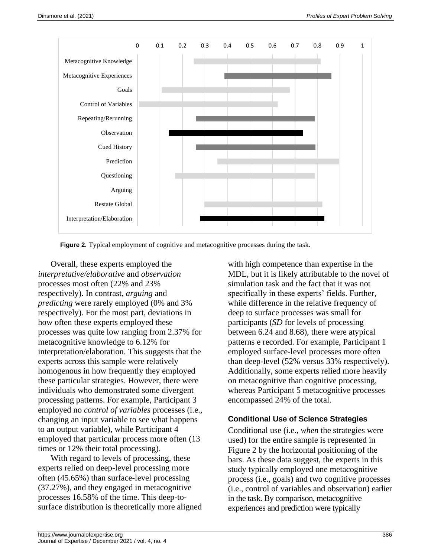

**Figure 2.** Typical employment of cognitive and metacognitive processes during the task.

Overall, these experts employed the *interpretative/elaborative* and *observation* processes most often (22% and 23% respectively). In contrast, *arguing* and *predicting* were rarely employed (0% and 3% respectively). For the most part, deviations in how often these experts employed these processes was quite low ranging from 2.37% for metacognitive knowledge to 6.12% for interpretation/elaboration. This suggests that the experts across this sample were relatively homogenous in how frequently they employed these particular strategies. However, there were individuals who demonstrated some divergent processing patterns. For example, Participant 3 employed no *control of variables* processes (i.e., changing an input variable to see what happens to an output variable), while Participant 4 employed that particular process more often (13 times or 12% their total processing).

With regard to levels of processing, these experts relied on deep-level processing more often (45.65%) than surface-level processing (37.27%), and they engaged in metacognitive processes 16.58% of the time. This deep-tosurface distribution is theoretically more aligned with high competence than expertise in the MDL, but it is likely attributable to the novel of simulation task and the fact that it was not specifically in these experts' fields. Further, while difference in the relative frequency of deep to surface processes was small for participants (*SD* for levels of processing between 6.24 and 8.68), there were atypical patterns e recorded. For example, Participant 1 employed surface-level processes more often than deep-level (52% versus 33% respectively). Additionally, some experts relied more heavily on metacognitive than cognitive processing, whereas Participant 5 metacognitive processes encompassed 24% of the total.

#### **Conditional Use of Science Strategies**

Conditional use (i.e., *when* the strategies were used) for the entire sample is represented in Figure 2 by the horizontal positioning of the bars. As these data suggest, the experts in this study typically employed one metacognitive process (i.e., goals) and two cognitive processes (i.e., control of variables and observation) earlier in the task. By comparison, metacognitive experiences and prediction were typically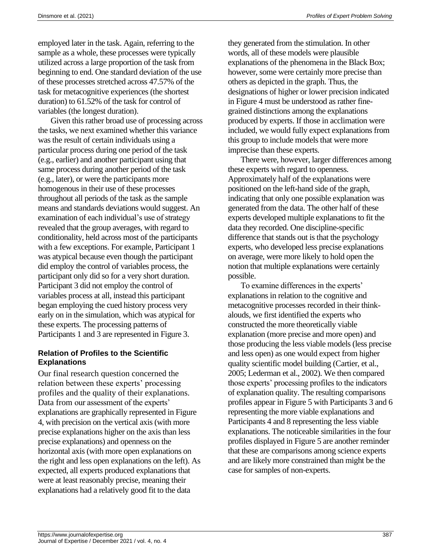employed later in the task. Again, referring to the sample as a whole, these processes were typically utilized across a large proportion of the task from beginning to end. One standard deviation of the use of these processes stretched across 47.57% of the task for metacognitive experiences (the shortest duration) to 61.52% of the task for control of variables (the longest duration).

Given this rather broad use of processing across the tasks, we next examined whether this variance was the result of certain individuals using a particular process during one period of the task (e.g., earlier) and another participant using that same process during another period of the task (e.g., later), or were the participants more homogenous in their use of these processes throughout all periods of the task as the sample means and standards deviations would suggest. An examination of each individual's use of strategy revealed that the group averages, with regard to conditionality, held across most of the participants with a few exceptions. For example, Participant 1 was atypical because even though the participant did employ the control of variables process, the participant only did so for a very short duration. Participant 3 did not employ the control of variables process at all, instead this participant began employing the cued history process very early on in the simulation, which was atypical for these experts. The processing patterns of Participants 1 and 3 are represented in Figure 3.

#### **Relation of Profiles to the Scientific Explanations**

Our final research question concerned the relation between these experts' processing profiles and the quality of their explanations. Data from our assessment of the experts' explanations are graphically represented in Figure 4, with precision on the vertical axis (with more precise explanations higher on the axis than less precise explanations) and openness on the horizontal axis (with more open explanations on the right and less open explanations on the left). As expected, all experts produced explanations that were at least reasonably precise, meaning their explanations had a relatively good fit to the data

they generated from the stimulation. In other words, all of these models were plausible explanations of the phenomena in the Black Box; however, some were certainly more precise than others as depicted in the graph. Thus, the designations of higher or lower precision indicated in Figure 4 must be understood as rather finegrained distinctions among the explanations produced by experts. If those in acclimation were included, we would fully expect explanations from this group to include models that were more imprecise than these experts.

There were, however, larger differences among these experts with regard to openness. Approximately half of the explanations were positioned on the left-hand side of the graph, indicating that only one possible explanation was generated from the data. The other half of these experts developed multiple explanations to fit the data they recorded. One discipline-specific difference that stands out is that the psychology experts, who developed less precise explanations on average, were more likely to hold open the notion that multiple explanations were certainly possible.

To examine differences in the experts' explanations in relation to the cognitive and metacognitive processes recorded in their thinkalouds, we first identified the experts who constructed the more theoretically viable explanation (more precise and more open) and those producing the less viable models (less precise and less open) as one would expect from higher quality scientific model building (Cartier, et al., 2005; Lederman et al., 2002). We then compared those experts' processing profiles to the indicators of explanation quality. The resulting comparisons profiles appear in Figure 5 with Participants 3 and 6 representing the more viable explanations and Participants 4 and 8 representing the less viable explanations. The noticeable similarities in the four profiles displayed in Figure 5 are another reminder that these are comparisons among science experts and are likely more constrained than might be the case for samples of non-experts.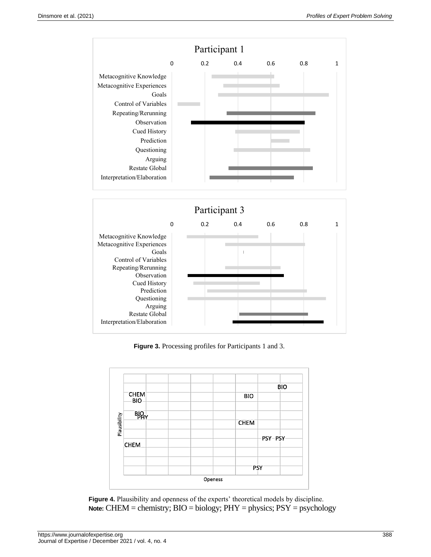



 **Figure 3.** Processing profiles for Participants 1 and 3.



**Figure 4.** Plausibility and openness of the experts' theoretical models by discipline. **Note:** CHEM = chemistry; BIO = biology; PHY = physics; PSY = psychology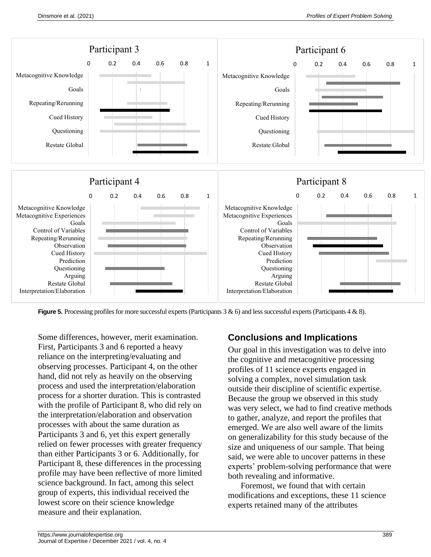

**Figure 5.** Processing profiles for more successful experts (Participants 3 & 6) and less successful experts (Participants 4 & 8).

Some differences, however, merit examination. First, Participants 3 and 6 reported a heavy reliance on the interpreting/evaluating and observing processes. Participant 4, on the other hand, did not rely as heavily on the observing process and used the interpretation/elaboration process for a shorter duration. This is contrasted with the profile of Participant 8, who did rely on the interpretation/elaboration and observation processes with about the same duration as Participants 3 and 6, yet this expert generally relied on fewer processes with greater frequency than either Participants 3 or 6. Additionally, for Participant 8, these differences in the processing profile may have been reflective of more limited science background. In fact, among this select group of experts, this individual received the lowest score on their science knowledge measure and their explanation.

## **Conclusions and Implications**

Our goal in this investigation was to delve into the cognitive and metacognitive processing profiles of 11 science experts engaged in solving a complex, novel simulation task outside their discipline of scientific expertise. Because the group we observed in this study was very select, we had to find creative methods to gather, analyze, and report the profiles that emerged. We are also well aware of the limits on generalizability for this study because of the size and uniqueness of our sample. That being said, we were able to uncover patterns in these experts' problem-solving performance that were both revealing and informative.

Foremost, we found that with certain modifications and exceptions, these 11 science experts retained many of the attributes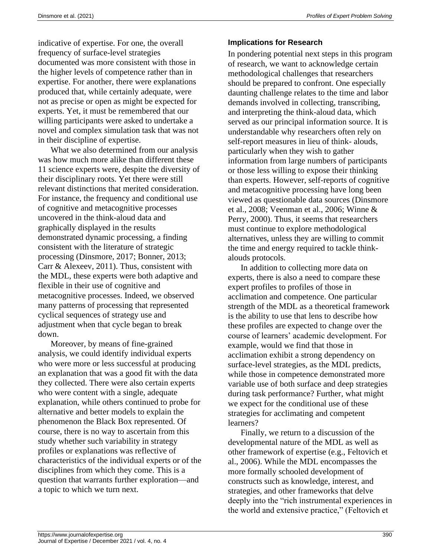indicative of expertise. For one, the overall frequency of surface-level strategies documented was more consistent with those in the higher levels of competence rather than in expertise. For another, there were explanations produced that, while certainly adequate, were not as precise or open as might be expected for experts. Yet, it must be remembered that our willing participants were asked to undertake a novel and complex simulation task that was not in their discipline of expertise.

What we also determined from our analysis was how much more alike than different these 11 science experts were, despite the diversity of their disciplinary roots. Yet there were still relevant distinctions that merited consideration. For instance, the frequency and conditional use of cognitive and metacognitive processes uncovered in the think-aloud data and graphically displayed in the results demonstrated dynamic processing, a finding consistent with the literature of strategic processing (Dinsmore, 2017; Bonner, 2013; Carr & Alexeev, 2011). Thus, consistent with the MDL, these experts were both adaptive and flexible in their use of cognitive and metacognitive processes. Indeed, we observed many patterns of processing that represented cyclical sequences of strategy use and adjustment when that cycle began to break down.

Moreover, by means of fine-grained analysis, we could identify individual experts who were more or less successful at producing an explanation that was a good fit with the data they collected. There were also certain experts who were content with a single, adequate explanation, while others continued to probe for alternative and better models to explain the phenomenon the Black Box represented. Of course, there is no way to ascertain from this study whether such variability in strategy profiles or explanations was reflective of characteristics of the individual experts or of the disciplines from which they come. This is a question that warrants further exploration—and a topic to which we turn next.

#### **Implications for Research**

In pondering potential next steps in this program of research, we want to acknowledge certain methodological challenges that researchers should be prepared to confront. One especially daunting challenge relates to the time and labor demands involved in collecting, transcribing, and interpreting the think-aloud data, which served as our principal information source. It is understandable why researchers often rely on self-report measures in lieu of think- alouds, particularly when they wish to gather information from large numbers of participants or those less willing to expose their thinking than experts. However, self-reports of cognitive and metacognitive processing have long been viewed as questionable data sources (Dinsmore et al., 2008; Veenman et al., 2006; Winne & Perry, 2000). Thus, it seems that researchers must continue to explore methodological alternatives, unless they are willing to commit the time and energy required to tackle thinkalouds protocols.

In addition to collecting more data on experts, there is also a need to compare these expert profiles to profiles of those in acclimation and competence. One particular strength of the MDL as a theoretical framework is the ability to use that lens to describe how these profiles are expected to change over the course of learners' academic development. For example, would we find that those in acclimation exhibit a strong dependency on surface-level strategies, as the MDL predicts, while those in competence demonstrated more variable use of both surface and deep strategies during task performance? Further, what might we expect for the conditional use of these strategies for acclimating and competent learners?

Finally, we return to a discussion of the developmental nature of the MDL as well as other framework of expertise (e.g., Feltovich et al., 2006). While the MDL encompasses the more formally schooled development of constructs such as knowledge, interest, and strategies, and other frameworks that delve deeply into the "rich instrumental experiences in the world and extensive practice," (Feltovich et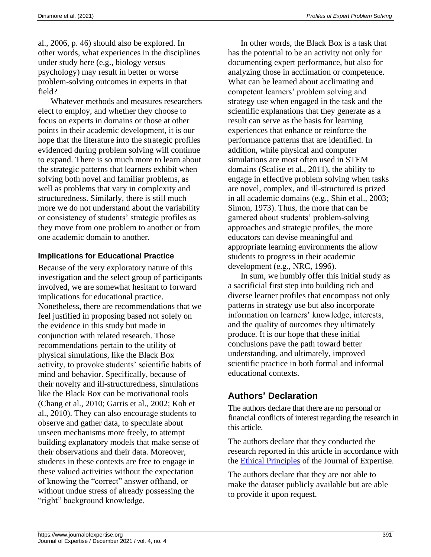al., 2006, p. 46) should also be explored. In other words, what experiences in the disciplines under study here (e.g., biology versus psychology) may result in better or worse problem-solving outcomes in experts in that field?

Whatever methods and measures researchers elect to employ, and whether they choose to focus on experts in domains or those at other points in their academic development, it is our hope that the literature into the strategic profiles evidenced during problem solving will continue to expand. There is so much more to learn about the strategic patterns that learners exhibit when solving both novel and familiar problems, as well as problems that vary in complexity and structuredness. Similarly, there is still much more we do not understand about the variability or consistency of students' strategic profiles as they move from one problem to another or from one academic domain to another.

#### **Implications for Educational Practice**

Because of the very exploratory nature of this investigation and the select group of participants involved, we are somewhat hesitant to forward implications for educational practice. Nonetheless, there are recommendations that we feel justified in proposing based not solely on the evidence in this study but made in conjunction with related research. Those recommendations pertain to the utility of physical simulations, like the Black Box activity, to provoke students' scientific habits of mind and behavior. Specifically, because of their novelty and ill-structuredness, simulations like the Black Box can be motivational tools (Chang et al., 2010; Garris et al., 2002; Koh et al., 2010). They can also encourage students to observe and gather data, to speculate about unseen mechanisms more freely, to attempt building explanatory models that make sense of their observations and their data. Moreover, students in these contexts are free to engage in these valued activities without the expectation of knowing the "correct" answer offhand, or without undue stress of already possessing the "right" background knowledge.

In other words, the Black Box is a task that has the potential to be an activity not only for documenting expert performance, but also for analyzing those in acclimation or competence. What can be learned about acclimating and competent learners' problem solving and strategy use when engaged in the task and the scientific explanations that they generate as a result can serve as the basis for learning experiences that enhance or reinforce the performance patterns that are identified. In addition, while physical and computer simulations are most often used in STEM domains (Scalise et al., 2011), the ability to engage in effective problem solving when tasks are novel, complex, and ill-structured is prized in all academic domains (e.g., Shin et al., 2003; Simon, 1973). Thus, the more that can be garnered about students' problem-solving approaches and strategic profiles, the more educators can devise meaningful and appropriate learning environments the allow students to progress in their academic development (e.g., NRC, 1996).

In sum, we humbly offer this initial study as a sacrificial first step into building rich and diverse learner profiles that encompass not only patterns in strategy use but also incorporate information on learners' knowledge, interests, and the quality of outcomes they ultimately produce. It is our hope that these initial conclusions pave the path toward better understanding, and ultimately, improved scientific practice in both formal and informal educational contexts.

# **Authors' Declaration**

The authors declare that there are no personal or financial conflicts of interest regarding the research in this article.

The authors declare that they conducted the research reported in this article in accordance with the [Ethical Principles](https://www.journalofexpertise.org/manuscript_submission.html) of the Journal of Expertise.

The authors declare that they are not able to make the dataset publicly available but are able to provide it upon request.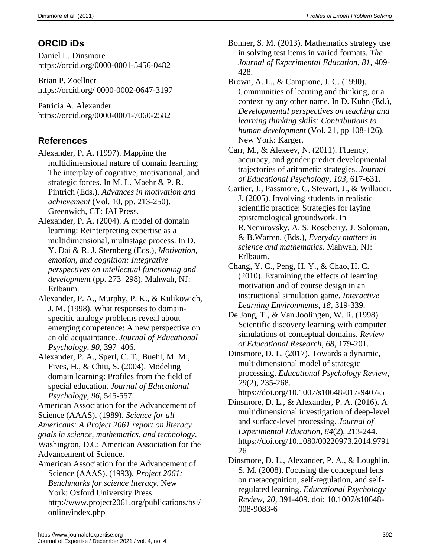# **ORCID iDs**

Daniel L. Dinsmore https://orcid.org/0000-0001-5456-0482

Brian P. Zoellner https://orcid.org/ 0000-0002-0647-3197

Patricia A. Alexander https://orcid.org/0000-0001-7060-2582

# **References**

- Alexander, P. A. (1997). Mapping the multidimensional nature of domain learning: The interplay of cognitive, motivational, and strategic forces. In M. L. Maehr & P. R. Pintrich (Eds.), *Advances in motivation and achievement* (Vol. 10, pp. 213-250). Greenwich, CT: JAI Press.
- Alexander, P. A. (2004). A model of domain learning: Reinterpreting expertise as a multidimensional, multistage process. In D. Y. Dai & R. J. Sternberg (Eds.), *Motivation, emotion, and cognition: Integrative perspectives on intellectual functioning and development* (pp. 273–298). Mahwah, NJ: Erlbaum.
- Alexander, P. A., Murphy, P. K., & Kulikowich, J. M. (1998). What responses to domainspecific analogy problems reveal about emerging competence: A new perspective on an old acquaintance. *Journal of Educational Psychology*, *90*, 397–406.
- Alexander, P. A., Sperl, C. T., Buehl, M. M., Fives, H., & Chiu, S. (2004). Modeling domain learning: Profiles from the field of special education. *Journal of Educational Psychology, 96*, 545-557*.*
- American Association for the Advancement of Science (AAAS). (1989). *Science for all*

*Americans: A Project 2061 report on literacy goals in science, mathematics, and technology*.

Washington, D.C: American Association for the Advancement of Science.

American Association for the Advancement of Science (AAAS). (1993). *Project 2061: Benchmarks for science literacy*. New York: Oxford University Press. http://www.project2061.org/publications/bsl/ Bonner, S. M. (2013). Mathematics strategy use in solving test items in varied formats. *The Journal of Experimental Education*, *81*, 409- 428.

- Brown, A. L., & Campione, J. C. (1990). Communities of learning and thinking, or a context by any other name. In D. Kuhn (Ed.), *Developmental perspectives on teaching and learning thinking skills: Contributions to human development* (Vol. 21, pp 108-126). New York: Karger.
- Carr, M., & Alexeev, N. (2011). Fluency, accuracy, and gender predict developmental trajectories of arithmetic strategies. *Journal of Educational Psychology, 103*, 617-631.
- Cartier, J., Passmore, C, Stewart, J., & Willauer, J. (2005). Involving students in realistic scientific practice: Strategies for laying epistemological groundwork. In R.Nemirovsky, A. S. Roseberry, J. Soloman, & B.Warren, (Eds.), *Everyday matters in science and mathematics*. Mahwah, NJ: Erlbaum.
- Chang, Y. C., Peng, H. Y., & Chao, H. C. (2010). Examining the effects of learning motivation and of course design in an instructional simulation game. *Interactive Learning Environments*, *18*, 319-339.
- De Jong, T., & Van Joolingen, W. R. (1998). Scientific discovery learning with computer simulations of conceptual domains. *Review of Educational Research*, *68*, 179-201.
- Dinsmore, D. L. (2017). Towards a dynamic, multidimensional model of strategic processing. *Educational Psychology Review, 29*(2)*,* 235-268.

https://doi.org/10.1007/s10648-017-9407-5

- Dinsmore, D. L., & Alexander, P. A. (2016). A multidimensional investigation of deep-level and surface-level processing. *Journal of Experimental Education, 84*(2)*,* 213-244. https://doi.org/10.1080/00220973.2014.9791 26
- Dinsmore, D. L., Alexander, P. A., & Loughlin, S. M. (2008). Focusing the conceptual lens on metacognition, self-regulation, and selfregulated learning. *Educational Psychology Review, 20,* 391-409. doi: 10.1007/s10648- 008-9083-6

online/index.php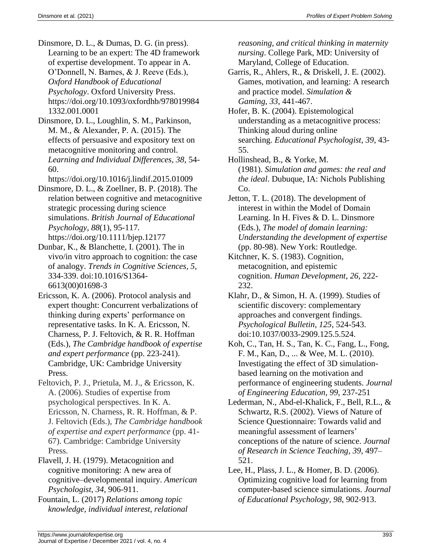- Dinsmore, D. L., & Dumas, D. G. (in press). Learning to be an expert: The 4D framework of expertise development. To appear in A. O'Donnell, N. Barnes, & J. Reeve (Eds.), *Oxford Handbook of Educational Psychology*. Oxford University Press. https://doi.org/10.1093/oxfordhb/978019984 1332.001.0001
- Dinsmore, D. L., Loughlin, S. M., Parkinson, M. M., & Alexander, P. A. (2015). The effects of persuasive and expository text on metacognitive monitoring and control. *Learning and Individual Differences, 38,* 54- 60.
	- https://doi.org/10.1016/j.lindif.2015.01009
- Dinsmore, D. L., & Zoellner, B. P. (2018). The relation between cognitive and metacognitive strategic processing during science simulations. *British Journal of Educational Psychology, 88*(1), 95-117*.* https://doi.org/10.1111/bjep.12177
- Dunbar, K., & Blanchette, I. (2001). The in vivo/in vitro approach to cognition: the case of analogy. *Trends in Cognitive Sciences, 5*, 334-339. doi:10.1016/S1364- 6613(00)01698-3
- Ericsson, K. A. (2006). Protocol analysis and expert thought: Concurrent verbalizations of thinking during experts' performance on representative tasks. In K. A. Ericsson, N. Charness, P. J. Feltovich, & R. R. Hoffman (Eds.), *The Cambridge handbook of expertise and expert performance* (pp. 223-241). Cambridge, UK: Cambridge University Press.
- Feltovich, P. J., Prietula, M. J., & Ericsson, K. A. (2006). Studies of expertise from psychological perspectives. In K. A. Ericsson, N. Charness, R. R. Hoffman, & P. J. Feltovich (Eds.), *The Cambridge handbook of expertise and expert performance* (pp. 41- 67). Cambridge: Cambridge University Press.
- Flavell, J. H. (1979). Metacognition and cognitive monitoring: A new area of cognitive–developmental inquiry. *American Psychologist*, *34*, 906-911.
- Fountain, L. (2017) *Relations among topic knowledge, individual interest, relational*

*reasoning, and critical thinking in maternity nursing*. College Park, MD: University of Maryland, College of Education.

- Garris, R., Ahlers, R., & Driskell, J. E. (2002). Games, motivation, and learning: A research and practice model. *Simulation & Gaming*, *33*, 441-467.
- Hofer, B. K. (2004). Epistemological understanding as a metacognitive process: Thinking aloud during online searching. *Educational Psychologist*, *39*, 43- 55.
- Hollinshead, B., & Yorke, M. (1981). *Simulation and games: the real and the ideal*. Dubuque, IA: Nichols Publishing Co.
- Jetton, T. L. (2018). The development of interest in within the Model of Domain Learning. In H. Fives & D. L. Dinsmore (Eds.), *The model of domain learning: Understanding the development of expertise* (pp. 80-98). New York: Routledge.
- Kitchner, K. S. (1983). Cognition, metacognition, and epistemic cognition. *Human Development*, *26*, 222- 232.
- Klahr, D., & Simon, H. A. (1999). Studies of scientific discovery: complementary approaches and convergent findings. *Psychological Bulletin, 125*, 524-543. doi:10.1037/0033-2909.125.5.524.
- Koh, C., Tan, H. S., Tan, K. C., Fang, L., Fong, F. M., Kan, D., ... & Wee, M. L. (2010). Investigating the effect of 3D simulationbased learning on the motivation and performance of engineering students. *Journal of Engineering Education*, *99*, 237-251
- Lederman, N., Abd-el-Khalick, F., Bell, R.L., & Schwartz, R.S. (2002). Views of Nature of Science Questionnaire: Towards valid and meaningful assessment of learners' conceptions of the nature of science. *Journal of Research in Science Teaching, 39*, 497– 521.
- Lee, H., Plass, J. L., & Homer, B. D. (2006). Optimizing cognitive load for learning from computer-based science simulations. *Journal of Educational Psychology*, *98*, 902-913.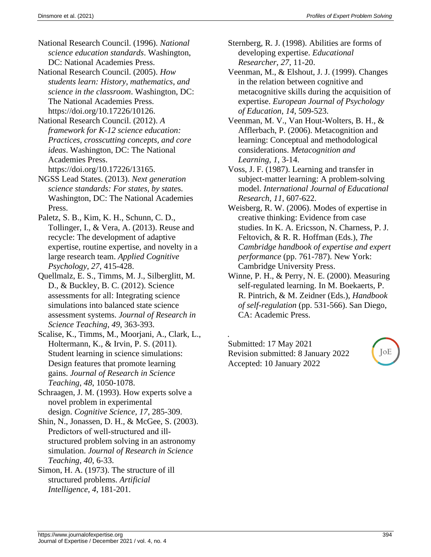- National Research Council. (1996). *National science education standards*. Washington, DC: National Academies Press.
- National Research Council. (2005). *How students learn: History, mathematics, and science in the classroom*. Washington, DC: The National Academies Press. https://doi.org/10.17226/10126.
- National Research Council. (2012). *A framework for K-12 science education: Practices, crosscutting concepts, and core ideas*. Washington, DC: The National Academies Press. https://doi.org/10.17226/13165.
- NGSS Lead States. (2013). *Next generation science standards: For states, by state*s. Washington, DC: The National Academies Press.
- Paletz, S. B., Kim, K. H., Schunn, C. D., Tollinger, I., & Vera, A. (2013). Reuse and recycle: The development of adaptive expertise, routine expertise, and novelty in a large research team. *Applied Cognitive Psychology*, *27*, 415-428.
- Quellmalz, E. S., Timms, M. J., Silberglitt, M. D., & Buckley, B. C. (2012). Science assessments for all: Integrating science simulations into balanced state science assessment systems. *Journal of Research in Science Teaching*, *49*, 363-393.
- Scalise, K., Timms, M., Moorjani, A., Clark, L., Holtermann, K., & Irvin, P. S. (2011). Student learning in science simulations: Design features that promote learning gains. *Journal of Research in Science Teaching*, *48*, 1050-1078.
- Schraagen, J. M. (1993). How experts solve a novel problem in experimental design. *Cognitive Science*, *17*, 285-309.
- Shin, N., Jonassen, D. H., & McGee, S. (2003). Predictors of well‐structured and ill‐ structured problem solving in an astronomy simulation. *Journal of Research in Science Teaching*, *40*, 6-33.
- Simon, H. A. (1973). The structure of ill structured problems. *Artificial Intelligence*, *4*, 181-201.
- Sternberg, R. J. (1998). Abilities are forms of developing expertise. *Educational Researcher*, *27*, 11-20.
- Veenman, M., & Elshout, J. J. (1999). Changes in the relation between cognitive and metacognitive skills during the acquisition of expertise. *European Journal of Psychology of Education*, *14*, 509-523.
- Veenman, M. V., Van Hout-Wolters, B. H., & Afflerbach, P. (2006). Metacognition and learning: Conceptual and methodological considerations. *Metacognition and Learning*, *1*, 3-14.
- Voss, J. F. (1987). Learning and transfer in subject-matter learning: A problem-solving model. *International Journal of Educational Research, 11*, 607-622.
- Weisberg, R. W. (2006). Modes of expertise in creative thinking: Evidence from case studies. In K. A. Ericsson, N. Charness, P. J. Feltovich, & R. R. Hoffman (Eds.), *The Cambridge handbook of expertise and expert performance* (pp. 761-787). New York: Cambridge University Press.
- Winne, P. H., & Perry, N. E. (2000). Measuring self-regulated learning. In M. Boekaerts, P. R. Pintrich, & M. Zeidner (Eds.), *Handbook of self-regulation* (pp. 531-566). San Diego, CA: Academic Press.
- . Submitted: 17 May 2021 Revision submitted: 8 January 2022 Accepted: 10 January 2022

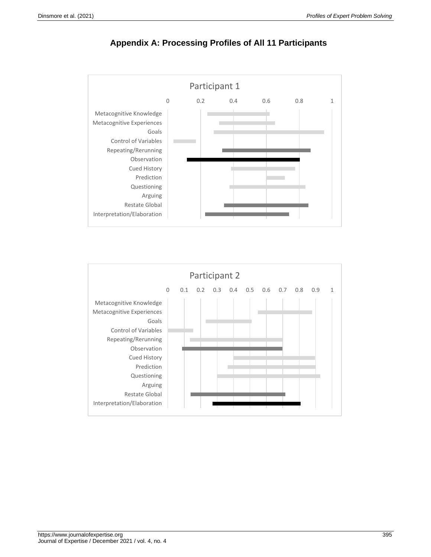



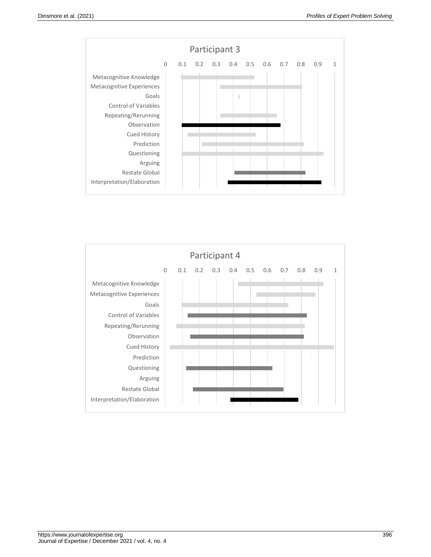

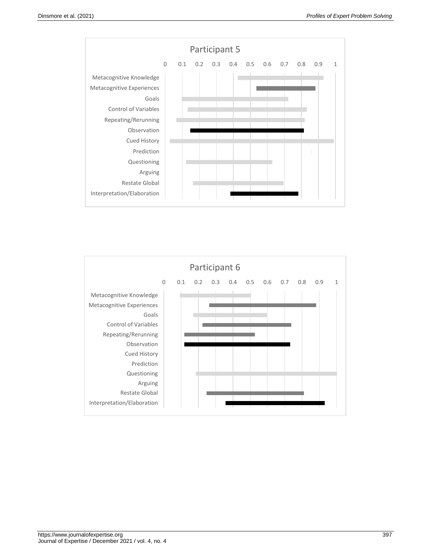

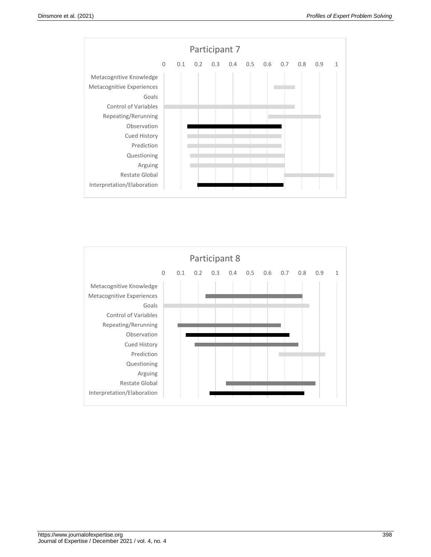

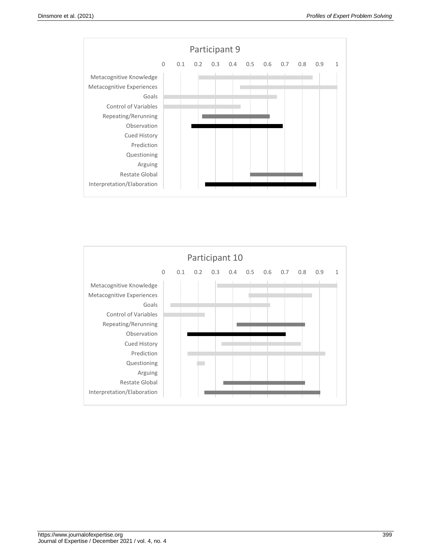